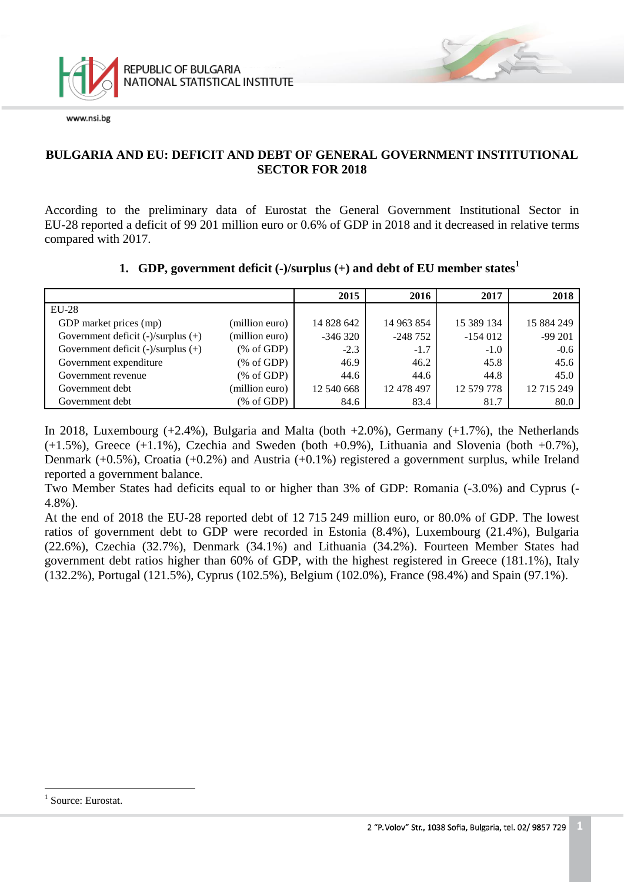

### **BULGARIA AND EU: DEFICIT AND DEBT OF GENERAL GOVERNMENT INSTITUTIONAL SECTOR FOR 2018**

According to the preliminary data of Eurostat the General Government Institutional Sector in EU-28 reported a deficit of 99 201 million euro or 0.6% of GDP in 2018 and it decreased in relative terms compared with 2017.

### **1. GDP, government deficit (-)/surplus (+) and debt of EU member states<sup>1</sup>**

|                                         |                | 2015       | 2016       | 2017       | 2018       |
|-----------------------------------------|----------------|------------|------------|------------|------------|
| $EU-28$                                 |                |            |            |            |            |
| GDP market prices (mp)                  | (million euro) | 14 828 642 | 14 963 854 | 15 389 134 | 15 884 249 |
| Government deficit $(-)/$ surplus $(+)$ | (million euro) | $-346320$  | $-248752$  | $-154012$  | -99 201    |
| Government deficit $(-)/$ surplus $(+)$ | % of GDP       | $-2.3$     | $-1.7$     | $-1.0$     | $-0.6$     |
| Government expenditure                  | % of GDP       | 46.9       | 46.2       | 45.8       | 45.6       |
| Government revenue                      | % of GDP       | 44.6       | 44.6       | 44.8       | 45.0       |
| Government debt                         | (million euro) | 12 540 668 | 12 478 497 | 12 579 778 | 12 715 249 |
| Government debt                         | % of GDP       | 84.6       | 83.4       | 81.7       | 80.0       |

In 2018, Luxembourg  $(+2.4\%)$ , Bulgaria and Malta (both  $+2.0\%$ ), Germany  $(+1.7\%)$ , the Netherlands  $(+1.5\%)$ , Greece  $(+1.1\%)$ , Czechia and Sweden (both  $+0.9\%$ ), Lithuania and Slovenia (both  $+0.7\%$ ), Denmark (+0.5%), Croatia (+0.2%) and Austria (+0.1%) registered a government surplus, while Ireland reported a government balance.

Two Member States had deficits equal to or higher than 3% of GDP: Romania (-3.0%) and Cyprus (- 4.8%).

At the end of 2018 the EU-28 reported debt of 12 715 249 million euro, or 80.0% of GDP. The lowest ratios of government debt to GDP were recorded in Estonia (8.4%), Luxembourg (21.4%), Bulgaria (22.6%), Czechia (32.7%), Denmark (34.1%) and Lithuania (34.2%). Fourteen Member States had government debt ratios higher than 60% of GDP, with the highest registered in Greece (181.1%), Italy (132.2%), Portugal (121.5%), Cyprus (102.5%), Belgium (102.0%), France (98.4%) and Spain (97.1%).

a<br>B

<sup>&</sup>lt;sup>1</sup> Source: Eurostat.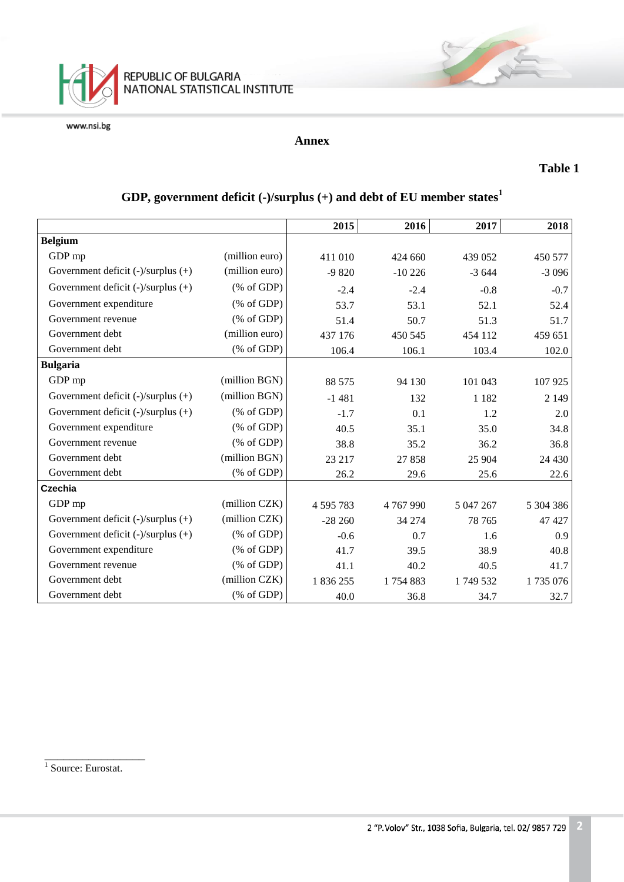

### **Annex**

### **Table 1**

|                                         |                                                       | 2015      | 2016          | 2017      | 2018      |
|-----------------------------------------|-------------------------------------------------------|-----------|---------------|-----------|-----------|
| <b>Belgium</b>                          |                                                       |           |               |           |           |
| GDP mp                                  | (million euro)                                        |           |               |           |           |
|                                         |                                                       | 411 010   | 424 660       | 439 052   | 450 577   |
| Government deficit (-)/surplus (+)      | (million euro)                                        | $-9820$   | $-10226$      | $-3644$   | $-3096$   |
| Government deficit $(-)/$ surplus $(+)$ | % of GDP                                              | $-2.4$    | $-2.4$        | $-0.8$    | $-0.7$    |
| Government expenditure                  | % of GDP                                              | 53.7      | 53.1          | 52.1      | 52.4      |
| Government revenue                      | $(% \mathcal{L}_{0}^{\infty}$ (% of GDP)              | 51.4      | 50.7          | 51.3      | 51.7      |
| Government debt                         | (million euro)                                        | 437 176   | 450 545       | 454 112   | 459 651   |
| Government debt                         | $(% \mathcal{L}_{0} \cap \mathcal{L}_{1})$ (% of GDP) | 106.4     | 106.1         | 103.4     | 102.0     |
| <b>Bulgaria</b>                         |                                                       |           |               |           |           |
| GDP mp                                  | (million BGN)                                         | 88 575    | 94 130        | 101 043   | 107 925   |
| Government deficit $(-)/$ surplus $(+)$ | (million BGN)                                         | $-1481$   | 132           | 1 1 8 2   | 2 1 4 9   |
| Government deficit (-)/surplus (+)      | $(% \mathcal{L}_{0}^{\infty}$ (% of GDP)              | $-1.7$    | 0.1           | 1.2       | 2.0       |
| Government expenditure                  | $(% \mathcal{L}_{0}^{\infty}$ (% of GDP)              | 40.5      | 35.1          | 35.0      | 34.8      |
| Government revenue                      | $(% \mathcal{L}_{0}^{\infty}$ (% of GDP)              | 38.8      | 35.2          | 36.2      | 36.8      |
| Government debt                         | (million BGN)                                         | 23 217    | 27858         | 25 904    | 24 4 30   |
| Government debt                         | $(% \mathcal{L}_{0} \cap \mathcal{L}_{1})$ (% of GDP) | 26.2      | 29.6          | 25.6      | 22.6      |
| Czechia                                 |                                                       |           |               |           |           |
| GDP mp                                  | (million CZK)                                         | 4 595 783 | 4 7 6 7 9 9 0 | 5 047 267 | 5 304 386 |
| Government deficit (-)/surplus (+)      | (million CZK)                                         | $-28260$  | 34 274        | 78 765    | 47 427    |
| Government deficit $(-)/$ surplus $(+)$ | $(% \mathcal{L}_{0}^{\infty}$ (% of GDP)              | $-0.6$    | 0.7           | 1.6       | 0.9       |
| Government expenditure                  | $(% \mathcal{L}_{0}^{\infty}$ (% of GDP)              | 41.7      | 39.5          | 38.9      | 40.8      |
| Government revenue                      | $(% \mathcal{L}_{0} \cap \mathcal{L}_{1})$ (% of GDP) | 41.1      | 40.2          | 40.5      | 41.7      |
| Government debt                         | (million CZK)                                         | 1 836 255 | 1754883       | 1749 532  | 1735076   |
| Government debt                         | $(% \mathcal{L}_{0} \cap \mathcal{L}_{1})$ (% of GDP) | 40.0      | 36.8          | 34.7      | 32.7      |

# **GDP, government deficit (-)/surplus (+) and debt of EU member states<sup>1</sup>**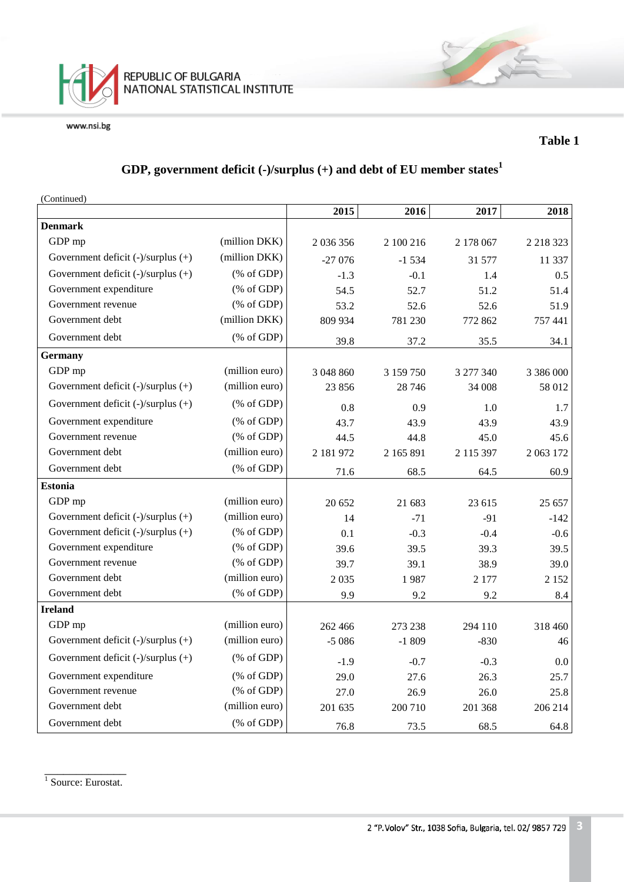

### **Table 1**

# **GDP, government deficit (-)/surplus (+) and debt of EU member states<sup>1</sup>**

(Continued)

|                                         |                                                       | 2015      | 2016      | 2017      | 2018        |
|-----------------------------------------|-------------------------------------------------------|-----------|-----------|-----------|-------------|
| <b>Denmark</b>                          |                                                       |           |           |           |             |
| GDP mp                                  | (million DKK)                                         | 2 036 356 | 2 100 216 | 2 178 067 | 2 2 18 3 23 |
| Government deficit $(-)/$ surplus $(+)$ | (million DKK)                                         | $-27076$  | $-1534$   | 31 577    | 11 337      |
| Government deficit $(-)/$ surplus $(+)$ | $(% \mathcal{L}_{0} \cap \mathcal{L}_{1})$ (% of GDP) | $-1.3$    | $-0.1$    | 1.4       | 0.5         |
| Government expenditure                  | $(% \mathcal{L}_{0} \cap \mathcal{L}_{1})$ (% of GDP) | 54.5      | 52.7      | 51.2      | 51.4        |
| Government revenue                      | $(% \mathcal{L}_{0} \cap \mathcal{L}_{1})$ (% of GDP) | 53.2      | 52.6      | 52.6      | 51.9        |
| Government debt                         | (million DKK)                                         | 809 934   | 781 230   | 772 862   | 757 441     |
| Government debt                         | $(% \mathcal{L}_{0} \cap \mathcal{L}_{1})$ (% of GDP) | 39.8      | 37.2      | 35.5      | 34.1        |
| <b>Germany</b>                          |                                                       |           |           |           |             |
| GDP mp                                  | (million euro)                                        | 3 048 860 | 3 159 750 | 3 277 340 | 3 386 000   |
| Government deficit (-)/surplus (+)      | (million euro)                                        | 23 856    | 28 74 6   | 34 008    | 58 012      |
| Government deficit (-)/surplus (+)      | $(% \mathcal{L}_{0} \cap \mathcal{L}_{1})$ (% of GDP) | 0.8       | 0.9       | 1.0       | 1.7         |
| Government expenditure                  | $(% \mathcal{L}_{0} \cap \mathcal{L}_{1})$ (% of GDP) | 43.7      | 43.9      | 43.9      | 43.9        |
| Government revenue                      | $(% \mathcal{L}_{0} \cap \mathcal{L}_{1})$ (% of GDP) | 44.5      | 44.8      | 45.0      | 45.6        |
| Government debt                         | (million euro)                                        | 2 181 972 | 2 165 891 | 2 115 397 | 2 0 63 1 72 |
| Government debt                         | $(% \mathcal{L}_{0} \cap \mathcal{L}_{1})$ (% of GDP) | 71.6      | 68.5      | 64.5      | 60.9        |
| <b>Estonia</b>                          |                                                       |           |           |           |             |
| GDP mp                                  | (million euro)                                        | 20 652    | 21 683    | 23 615    | 25 657      |
| Government deficit (-)/surplus (+)      | (million euro)                                        | 14        | $-71$     | $-91$     | $-142$      |
| Government deficit (-)/surplus (+)      | $(% \mathcal{L}_{0} \cap \mathcal{L}_{1})$ (% of GDP) | 0.1       | $-0.3$    | $-0.4$    | $-0.6$      |
| Government expenditure                  | $(% \mathcal{L}_{0}$ (% of GDP)                       | 39.6      | 39.5      | 39.3      | 39.5        |
| Government revenue                      | $(% \mathcal{L}_{0} \cap \mathcal{L}_{1})$ (% of GDP) | 39.7      | 39.1      | 38.9      | 39.0        |
| Government debt                         | (million euro)                                        | 2035      | 1987      | 2 177     | 2 1 5 2     |
| Government debt                         | $(% \mathcal{L}_{0} \cap \mathcal{L}_{1})$ (% of GDP) | 9.9       | 9.2       | 9.2       | 8.4         |
| <b>Ireland</b>                          |                                                       |           |           |           |             |
| GDP mp                                  | (million euro)                                        | 262 466   | 273 238   | 294 110   | 318 460     |
| Government deficit (-)/surplus (+)      | (million euro)                                        | $-5086$   | $-1809$   | $-830$    | 46          |
| Government deficit $(-)/$ surplus $(+)$ | $(% \mathcal{L}_{0}^{\infty}$ (% of GDP)              | $-1.9$    | $-0.7$    | $-0.3$    | 0.0         |
| Government expenditure                  | $(% \mathcal{L}_{0} \cap \mathcal{L}_{1})$ (% of GDP) | 29.0      | 27.6      | 26.3      | 25.7        |
| Government revenue                      | $(% \mathcal{L}_{0} \cap \mathcal{L}_{1})$ (% of GDP) | 27.0      | 26.9      | 26.0      | 25.8        |
| Government debt                         | (million euro)                                        | 201 635   | 200 710   | 201 368   | 206 214     |
| Government debt                         | $(% \mathcal{L}_{0}$ (% of GDP)                       | 76.8      | 73.5      | 68.5      | 64.8        |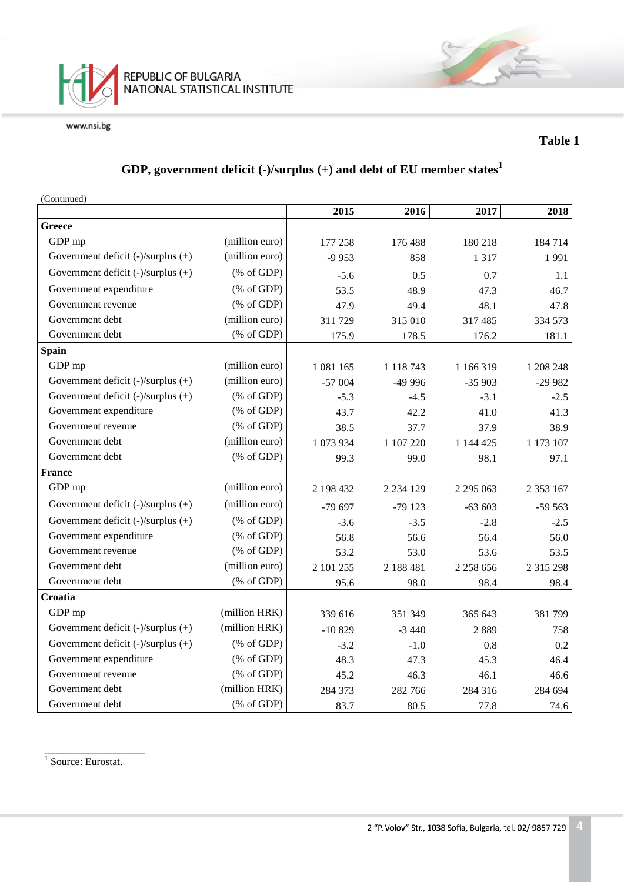

#### **Table 1**

# **GDP, government deficit (-)/surplus (+) and debt of EU member states<sup>1</sup>**

(Continued)

|                                         |                                                       | 2015      | 2016          | 2017          | 2018          |
|-----------------------------------------|-------------------------------------------------------|-----------|---------------|---------------|---------------|
| Greece                                  |                                                       |           |               |               |               |
| GDP mp                                  | (million euro)                                        | 177 258   | 176 488       | 180 218       | 184714        |
| Government deficit $(-)/$ surplus $(+)$ | (million euro)                                        | $-9953$   | 858           | 1 3 1 7       | 1991          |
| Government deficit (-)/surplus (+)      | $(% \mathcal{L}_{0}$ (% of GDP)                       | $-5.6$    | 0.5           | 0.7           | 1.1           |
| Government expenditure                  | $(% \mathcal{L}_{0}^{\infty}$ (% of GDP)              | 53.5      | 48.9          | 47.3          | 46.7          |
| Government revenue                      | $(% \mathcal{L}_{0} \cap \mathcal{L}_{1})$ (% of GDP) | 47.9      | 49.4          | 48.1          | 47.8          |
| Government debt                         | (million euro)                                        | 311 729   | 315 010       | 317 485       | 334 573       |
| Government debt                         | (% of GDP)                                            | 175.9     | 178.5         | 176.2         | 181.1         |
| <b>Spain</b>                            |                                                       |           |               |               |               |
| GDP mp                                  | (million euro)                                        | 1 081 165 | 1 118 743     | 1 166 319     | 1 208 248     |
| Government deficit $(-)/$ surplus $(+)$ | (million euro)                                        | $-57004$  | -49 996       | $-35903$      | $-29982$      |
| Government deficit (-)/surplus (+)      | $(% \mathcal{L}_{0} \cap \mathcal{L}_{1})$ (% of GDP) | $-5.3$    | $-4.5$        | $-3.1$        | $-2.5$        |
| Government expenditure                  | $(% \mathcal{L}_{0} \cap \mathcal{L}_{1})$ (% of GDP) | 43.7      | 42.2          | 41.0          | 41.3          |
| Government revenue                      | $(% \mathcal{L}_{0} \cap \mathcal{L}_{1})$ (% of GDP) | 38.5      | 37.7          | 37.9          | 38.9          |
| Government debt                         | (million euro)                                        | 1 073 934 | 1 107 220     | 1 144 425     | 1 173 107     |
| Government debt                         | $(% \mathcal{L}_{0}$ (% of GDP)                       | 99.3      | 99.0          | 98.1          | 97.1          |
| <b>France</b>                           |                                                       |           |               |               |               |
| GDP mp                                  | (million euro)                                        | 2 198 432 | 2 2 3 4 1 2 9 | 2 2 9 5 0 6 3 | 2 3 5 3 1 6 7 |
| Government deficit $(-)/$ surplus $(+)$ | (million euro)                                        | $-79697$  | $-79123$      | $-63603$      | $-59563$      |
| Government deficit (-)/surplus (+)      | $(% \mathcal{L}_{0} \cap \mathcal{L}_{1})$ (% of GDP) | $-3.6$    | $-3.5$        | $-2.8$        | $-2.5$        |
| Government expenditure                  | $(% \mathcal{L}_{0} \cap \mathcal{L}_{1})$ (% of GDP) | 56.8      | 56.6          | 56.4          | 56.0          |
| Government revenue                      | $(% \mathcal{L}_{0} \cap \mathcal{L}_{1})$ (% of GDP) | 53.2      | 53.0          | 53.6          | 53.5          |
| Government debt                         | (million euro)                                        | 2 101 255 | 2 188 481     | 2 2 58 6 56   | 2 3 1 5 2 9 8 |
| Government debt                         | $(% \mathcal{L}_{0}$ (% of GDP)                       | 95.6      | 98.0          | 98.4          | 98.4          |
| Croatia                                 |                                                       |           |               |               |               |
| GDP mp                                  | (million HRK)                                         | 339 616   | 351 349       | 365 643       | 381799        |
| Government deficit (-)/surplus (+)      | (million HRK)                                         | $-10829$  | $-3440$       | 2889          | 758           |
| Government deficit (-)/surplus (+)      | $(% \mathcal{L}_{0}^{\infty}$ (% of GDP)              | $-3.2$    | $-1.0$        | 0.8           | 0.2           |
| Government expenditure                  | $(% \mathcal{L}_{0} \cap \mathcal{L}_{1})$ (% of GDP) | 48.3      | 47.3          | 45.3          | 46.4          |
| Government revenue                      | $(% \mathcal{L}_{0} \cap \mathcal{L}_{1})$ (% of GDP) | 45.2      | 46.3          | 46.1          | 46.6          |
| Government debt                         | (million HRK)                                         | 284 373   | 282 766       | 284 316       | 284 694       |
| Government debt                         | $(% \mathcal{L}_{0}$ (% of GDP)                       | 83.7      | 80.5          | 77.8          | 74.6          |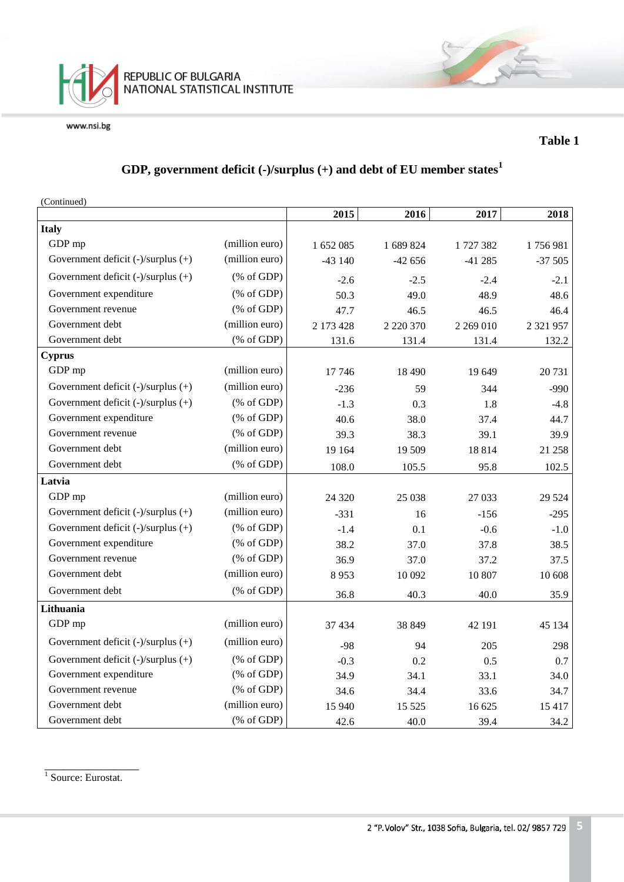

#### **Table 1**

# **GDP, government deficit (-)/surplus (+) and debt of EU member states<sup>1</sup>**

| (Continued)                             |                                                       |           |               |           |               |
|-----------------------------------------|-------------------------------------------------------|-----------|---------------|-----------|---------------|
|                                         |                                                       | 2015      | 2016          | 2017      | 2018          |
| <b>Italy</b>                            |                                                       |           |               |           |               |
| GDP mp                                  | (million euro)                                        | 1 652 085 | 1 689 824     | 1727382   | 1756981       |
| Government deficit $(-)/$ surplus $(+)$ | (million euro)                                        | $-43140$  | $-42656$      | $-41285$  | $-37505$      |
| Government deficit $(-)/$ surplus $(+)$ | $(% \mathcal{L}_{0} \cap \mathcal{L}_{1})$ (% of GDP) | $-2.6$    | $-2.5$        | $-2.4$    | $-2.1$        |
| Government expenditure                  | $(% \mathcal{L}_{0}^{\infty}$ (% of GDP)              | 50.3      | 49.0          | 48.9      | 48.6          |
| Government revenue                      | $(% \mathcal{L}_{0} \cap \mathcal{L}_{1})$ (% of GDP) | 47.7      | 46.5          | 46.5      | 46.4          |
| Government debt                         | (million euro)                                        | 2 173 428 | 2 2 2 3 3 7 0 | 2 269 010 | 2 3 2 1 9 5 7 |
| Government debt                         | $(% \mathcal{L}_{0} \cap \mathcal{L}_{1})$ (% of GDP) | 131.6     | 131.4         | 131.4     | 132.2         |
| <b>Cyprus</b>                           |                                                       |           |               |           |               |
| GDP mp                                  | (million euro)                                        | 17 746    | 18 4 9 0      | 19 649    | 20 731        |
| Government deficit $(-)/$ surplus $(+)$ | (million euro)                                        | $-236$    | 59            | 344       | $-990$        |
| Government deficit $(-)/$ surplus $(+)$ | $(% \mathcal{L}_{0} \cap \mathcal{L}_{1})$ (% of GDP) | $-1.3$    | 0.3           | 1.8       | $-4.8$        |
| Government expenditure                  | $(% \mathcal{L}_{0} \cap \mathcal{L}_{1})$ (% of GDP) | 40.6      | 38.0          | 37.4      | 44.7          |
| Government revenue                      | $(% \mathcal{L}_{0} \cap \mathcal{L}_{1})$ (% of GDP) | 39.3      | 38.3          | 39.1      | 39.9          |
| Government debt                         | (million euro)                                        | 19 164    | 19 509        | 18814     | 21 258        |
| Government debt                         | $(% \mathcal{L}_{0}$ (% of GDP)                       | 108.0     | 105.5         | 95.8      | 102.5         |
| Latvia                                  |                                                       |           |               |           |               |
| GDP mp                                  | (million euro)                                        | 24 3 20   | 25 038        | 27 033    | 29 5 24       |
| Government deficit (-)/surplus (+)      | (million euro)                                        | $-331$    | 16            | $-156$    | $-295$        |
| Government deficit $(-)/$ surplus $(+)$ | $(% \mathcal{L}_{0} \cap \mathcal{L}_{1})$ (% of GDP) | $-1.4$    | 0.1           | $-0.6$    | $-1.0$        |
| Government expenditure                  | $(% \mathcal{L}_{0}$ (% of GDP)                       | 38.2      | 37.0          | 37.8      | 38.5          |
| Government revenue                      | $(% \mathcal{L}_{0} \cap \mathcal{L}_{1})$ (% of GDP) | 36.9      | 37.0          | 37.2      | 37.5          |
| Government debt                         | (million euro)                                        | 8953      | 10 092        | 10 807    | 10 608        |
| Government debt                         | $(% \mathcal{L}_{0} \cap \mathcal{L}_{1})$ (% of GDP) | 36.8      | 40.3          | 40.0      | 35.9          |
| Lithuania                               |                                                       |           |               |           |               |
| GDP mp                                  | (million euro)                                        | 37 434    | 38 849        | 42 191    | 45 134        |
| Government deficit (-)/surplus (+)      | (million euro)                                        | $-98$     | 94            | 205       | 298           |
| Government deficit $(-)/$ surplus $(+)$ | $(% \mathcal{L}_{0} \cap \mathcal{L}_{1})$ (% of GDP) | $-0.3$    | 0.2           | 0.5       | 0.7           |
| Government expenditure                  | $(% \mathcal{L}_{0} \cap \mathcal{L}_{1})$ (% of GDP) | 34.9      | 34.1          | 33.1      | 34.0          |
| Government revenue                      | $(% \mathcal{L}_{0}$ (% of GDP)                       | 34.6      | 34.4          | 33.6      | 34.7          |
| Government debt                         | (million euro)                                        | 15 940    | 15 5 25       | 16 625    | 15 4 17       |
| Government debt                         | $(% \mathcal{L}_{0} \cap \mathcal{L}_{1})$ (% of GDP) | 42.6      | 40.0          | 39.4      | 34.2          |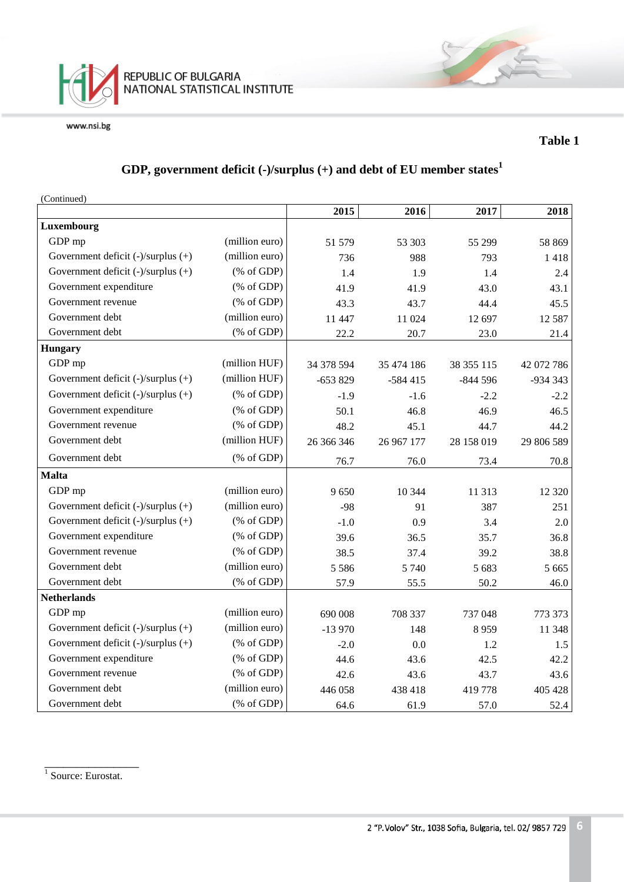

#### **Table 1**

# **GDP, government deficit (-)/surplus (+) and debt of EU member states<sup>1</sup>**

(Continued)

|                                         |                                                       | 2015       | 2016       | 2017       | 2018       |
|-----------------------------------------|-------------------------------------------------------|------------|------------|------------|------------|
| Luxembourg                              |                                                       |            |            |            |            |
| GDP mp                                  | (million euro)                                        | 51 579     | 53 303     | 55 299     | 58 869     |
| Government deficit $(-)/$ surplus $(+)$ | (million euro)                                        | 736        | 988        | 793        | 1418       |
| Government deficit $(-)/$ surplus $(+)$ | $(% \mathcal{L}_{0}^{\infty}$ (% of GDP)              | 1.4        | 1.9        | 1.4        | 2.4        |
| Government expenditure                  | $(% \mathcal{L}_{0} \cap \mathcal{L}_{1})$ (% of GDP) | 41.9       | 41.9       | 43.0       | 43.1       |
| Government revenue                      | $(% \mathcal{L}_{0} \cap \mathcal{L}_{1})$ (% of GDP) | 43.3       | 43.7       | 44.4       | 45.5       |
| Government debt                         | (million euro)                                        | 11 447     | 11 024     | 12 697     | 12 5 8 7   |
| Government debt                         | $(% \mathcal{L}_{0}$ (% of GDP)                       | 22.2       | 20.7       | 23.0       | 21.4       |
| <b>Hungary</b>                          |                                                       |            |            |            |            |
| GDP mp                                  | (million HUF)                                         | 34 378 594 | 35 474 186 | 38 355 115 | 42 072 786 |
| Government deficit (-)/surplus (+)      | (million HUF)                                         | $-653829$  | $-584415$  | $-844596$  | $-934343$  |
| Government deficit $(-)/$ surplus $(+)$ | $(% \mathcal{L}_{0}^{\infty}$ (% of GDP)              | $-1.9$     | $-1.6$     | $-2.2$     | $-2.2$     |
| Government expenditure                  | $(% \mathcal{L}_{0}^{\infty}$ (% of GDP)              | 50.1       | 46.8       | 46.9       | 46.5       |
| Government revenue                      | $(% \mathcal{L}_{0} \cap \mathcal{L}_{1})$ (% of GDP) | 48.2       | 45.1       | 44.7       | 44.2       |
| Government debt                         | (million HUF)                                         | 26 366 346 | 26 967 177 | 28 158 019 | 29 806 589 |
| Government debt                         | $(% \mathcal{L}_{0} \cap \mathcal{L}_{1})$ (% of GDP) | 76.7       | 76.0       | 73.4       | 70.8       |
| <b>Malta</b>                            |                                                       |            |            |            |            |
| GDP mp                                  | (million euro)                                        | 9650       | 10 344     | 11 313     | 12 3 20    |
| Government deficit (-)/surplus (+)      | (million euro)                                        | $-98$      | 91         | 387        | 251        |
| Government deficit (-)/surplus (+)      | $(% \mathcal{L}_{0} \cap \mathcal{L}_{1})$ (% of GDP) | $-1.0$     | 0.9        | 3.4        | 2.0        |
| Government expenditure                  | $(% \mathcal{L}_{0} \cap \mathcal{L}_{1})$ (% of GDP) | 39.6       | 36.5       | 35.7       | 36.8       |
| Government revenue                      | $(% \mathcal{L}_{0} \cap \mathcal{L}_{1})$ (% of GDP) | 38.5       | 37.4       | 39.2       | 38.8       |
| Government debt                         | (million euro)                                        | 5 5 8 6    | 5 7 4 0    | 5 683      | 5 6 6 5    |
| Government debt                         | $(% \mathcal{L}_{0}$ (% of GDP)                       | 57.9       | 55.5       | 50.2       | 46.0       |
| <b>Netherlands</b>                      |                                                       |            |            |            |            |
| GDP mp                                  | (million euro)                                        | 690 008    | 708 337    | 737 048    | 773 373    |
| Government deficit (-)/surplus (+)      | (million euro)                                        | $-13970$   | 148        | 8959       | 11 348     |
| Government deficit (-)/surplus (+)      | $(% \mathcal{L}_{0} \cap \mathcal{L}_{1})$ (% of GDP) | $-2.0$     | 0.0        | 1.2        | 1.5        |
| Government expenditure                  | $(% \mathcal{L}_{0} \cap \mathcal{L}_{1})$ (% of GDP) | 44.6       | 43.6       | 42.5       | 42.2       |
| Government revenue                      | $(% \mathcal{L}_{0} \cap \mathcal{L}_{1})$ (% of GDP) | 42.6       | 43.6       | 43.7       | 43.6       |
| Government debt                         | (million euro)                                        | 446 058    | 438 418    | 419 778    | 405 428    |
| Government debt                         | $(% \mathcal{L}_{0}$ (% of GDP)                       | 64.6       | 61.9       | 57.0       | 52.4       |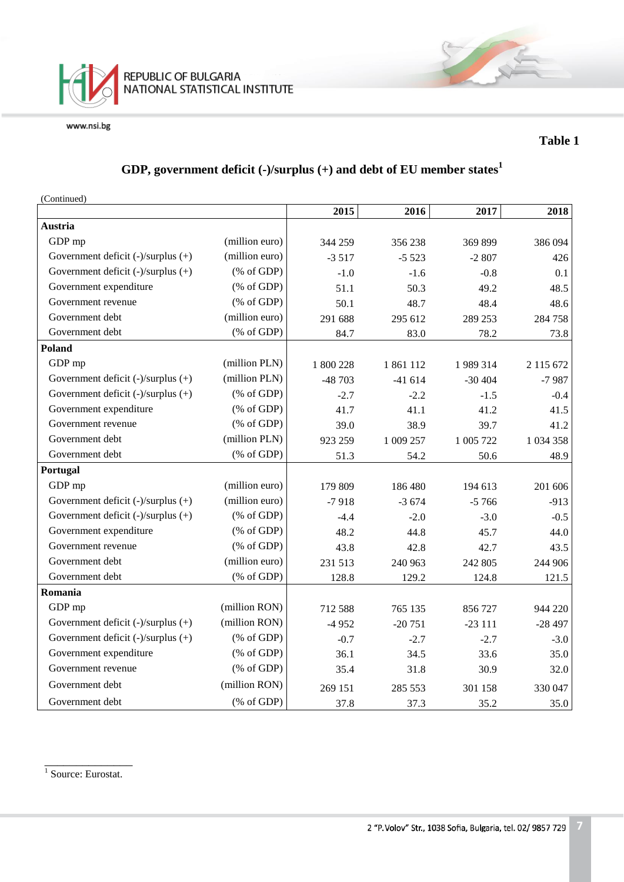

#### **Table 1**

# **GDP, government deficit (-)/surplus (+) and debt of EU member states<sup>1</sup>**

(Continued)

|                                         |                                                       | 2015      | 2016      | 2017      | 2018          |
|-----------------------------------------|-------------------------------------------------------|-----------|-----------|-----------|---------------|
| Austria                                 |                                                       |           |           |           |               |
| GDP mp                                  | (million euro)                                        | 344 259   | 356 238   | 369 899   | 386 094       |
| Government deficit $(-)/$ surplus $(+)$ | (million euro)                                        | $-3517$   | $-5523$   | $-2807$   | 426           |
| Government deficit (-)/surplus (+)      | $(% \mathcal{L}_{0} \cap \mathcal{L}_{1})$ (% of GDP) | $-1.0$    | $-1.6$    | $-0.8$    | 0.1           |
| Government expenditure                  | $(% \mathcal{L}_{0} \cap \mathcal{L}_{1})$ (% of GDP) | 51.1      | 50.3      | 49.2      | 48.5          |
| Government revenue                      | $(% \mathcal{L}_{0} \cap \mathcal{L}_{1})$ (% of GDP) | 50.1      | 48.7      | 48.4      | 48.6          |
| Government debt                         | (million euro)                                        | 291 688   | 295 612   | 289 253   | 284 758       |
| Government debt                         | (% of GDP)                                            | 84.7      | 83.0      | 78.2      | 73.8          |
| Poland                                  |                                                       |           |           |           |               |
| GDP mp                                  | (million PLN)                                         | 1 800 228 | 1861112   | 1 989 314 | 2 115 672     |
| Government deficit $(-)/$ surplus $(+)$ | (million PLN)                                         | $-48703$  | $-41614$  | $-30404$  | $-7987$       |
| Government deficit (-)/surplus (+)      | $(% \mathcal{L}_{0} \cap \mathcal{L}_{1})$ (% of GDP) | $-2.7$    | $-2.2$    | $-1.5$    | $-0.4$        |
| Government expenditure                  | $(% \mathcal{L}_{0} \cap \mathcal{L}_{1})$ (% of GDP) | 41.7      | 41.1      | 41.2      | 41.5          |
| Government revenue                      | $(% \mathcal{L}_{0}^{\infty}$ (% of GDP)              | 39.0      | 38.9      | 39.7      | 41.2          |
| Government debt                         | (million PLN)                                         | 923 259   | 1 009 257 | 1 005 722 | 1 0 3 4 3 5 8 |
| Government debt                         | $(% \mathcal{L}_{0} \cap \mathcal{L}_{1})$ (% of GDP) | 51.3      | 54.2      | 50.6      | 48.9          |
| Portugal                                |                                                       |           |           |           |               |
| GDP mp                                  | (million euro)                                        | 179 809   | 186 480   | 194 613   | 201 606       |
| Government deficit $(-)/$ surplus $(+)$ | (million euro)                                        | $-7918$   | $-3674$   | $-5766$   | $-913$        |
| Government deficit $(-)/$ surplus $(+)$ | $(% \mathcal{L}_{0}^{\infty}$ (% of GDP)              | $-4.4$    | $-2.0$    | $-3.0$    | $-0.5$        |
| Government expenditure                  | $(% \mathcal{L}_{0} \cap \mathcal{L}_{1})$ (% of GDP) | 48.2      | 44.8      | 45.7      | 44.0          |
| Government revenue                      | $(% \mathcal{L}_{0} \cap \mathcal{L}_{1})$ (% of GDP) | 43.8      | 42.8      | 42.7      | 43.5          |
| Government debt                         | (million euro)                                        | 231 513   | 240 963   | 242 805   | 244 906       |
| Government debt                         | $(% \mathcal{L}_{0} \cap \mathcal{L}_{1})$ (% of GDP) | 128.8     | 129.2     | 124.8     | 121.5         |
| Romania                                 |                                                       |           |           |           |               |
| GDP mp                                  | (million RON)                                         | 712 588   | 765 135   | 856 727   | 944 220       |
| Government deficit $(-)/$ surplus $(+)$ | (million RON)                                         | $-4952$   | $-20751$  | $-23111$  | $-28497$      |
| Government deficit (-)/surplus (+)      | $(% \mathcal{L}_{0} \cap \mathcal{L}_{1})$ (% of GDP) | $-0.7$    | $-2.7$    | $-2.7$    | $-3.0$        |
| Government expenditure                  | $(% \mathcal{L}_{0} \cap \mathcal{L}_{1})$ (% of GDP) | 36.1      | 34.5      | 33.6      | 35.0          |
| Government revenue                      | $(% \mathcal{L}_{0} \cap \mathcal{L}_{1})$ (% of GDP) | 35.4      | 31.8      | 30.9      | 32.0          |
| Government debt                         | (million RON)                                         | 269 151   | 285 553   | 301 158   | 330 047       |
| Government debt                         | $(% \mathcal{L}_{0} \cap \mathcal{L}_{1})$ (% of GDP) | 37.8      | 37.3      | 35.2      | 35.0          |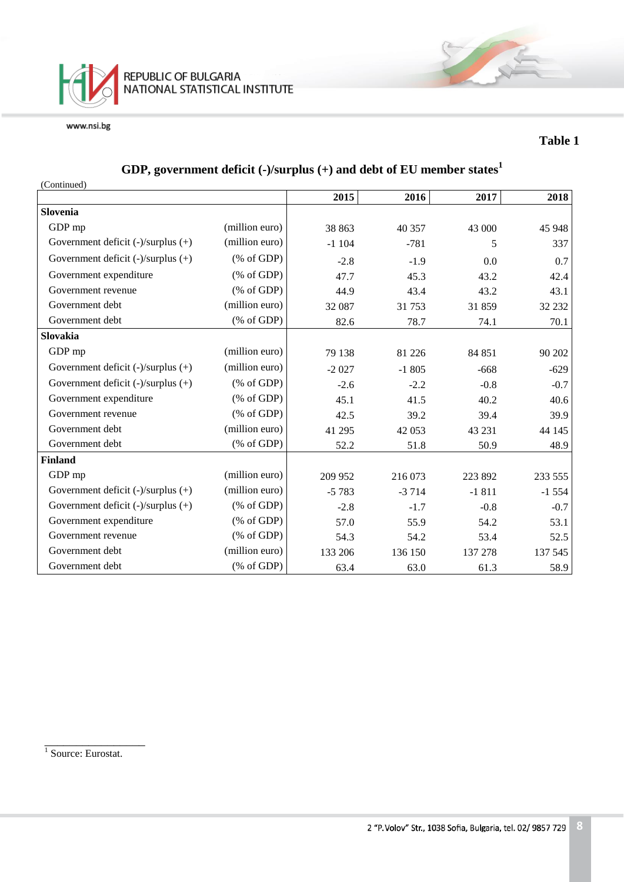

#### **Table 1**

# **GDP, government deficit (-)/surplus (+) and debt of EU member states<sup>1</sup>**

| (Continued)                             |                                                                 |         |         |         |         |
|-----------------------------------------|-----------------------------------------------------------------|---------|---------|---------|---------|
|                                         |                                                                 | 2015    | 2016    | 2017    | 2018    |
| Slovenia                                |                                                                 |         |         |         |         |
| GDP mp                                  | (million euro)                                                  | 38 863  | 40 357  | 43 000  | 45 948  |
| Government deficit (-)/surplus (+)      | (million euro)                                                  | $-1104$ | $-781$  | 5       | 337     |
| Government deficit $(-)/$ surplus $(+)$ | $(% \mathcal{L}_{0} \cap \mathcal{L}_{1})$ (% of GDP)           | $-2.8$  | $-1.9$  | 0.0     | 0.7     |
| Government expenditure                  | $(% \mathcal{L}_{0} \cap \mathcal{L}_{1})$ (% of GDP)           | 47.7    | 45.3    | 43.2    | 42.4    |
| Government revenue                      | $(% \mathcal{L}_{0} \cap \mathcal{L}_{1})$ (% of GDP)           | 44.9    | 43.4    | 43.2    | 43.1    |
| Government debt                         | (million euro)                                                  | 32 087  | 31 753  | 31859   | 32 232  |
| Government debt                         | $(% \mathcal{L}_{0}^{\ast }\otimes \mathcal{L}_{1})$ (% of GDP) | 82.6    | 78.7    | 74.1    | 70.1    |
| Slovakia                                |                                                                 |         |         |         |         |
| GDP mp                                  | (million euro)                                                  | 79 138  | 81 226  | 84 851  | 90 202  |
| Government deficit $(-)/$ surplus $(+)$ | (million euro)                                                  | $-2027$ | $-1805$ | $-668$  | $-629$  |
| Government deficit $(-)/$ surplus $(+)$ | $(% \mathcal{L}_{0} \cap \mathcal{L}_{1})$ (% of GDP)           | $-2.6$  | $-2.2$  | $-0.8$  | $-0.7$  |
| Government expenditure                  | $(% \mathcal{L}_{0} \cap \mathcal{L}_{1})$ (% of GDP)           | 45.1    | 41.5    | 40.2    | 40.6    |
| Government revenue                      | $(% \mathcal{L}_{0} \cap \mathcal{L}_{1})$ (% of GDP)           | 42.5    | 39.2    | 39.4    | 39.9    |
| Government debt                         | (million euro)                                                  | 41 295  | 42 053  | 43 231  | 44 145  |
| Government debt                         | $(% \mathcal{L}_{0} \cap \mathcal{L}_{1})$ (% of GDP)           | 52.2    | 51.8    | 50.9    | 48.9    |
| <b>Finland</b>                          |                                                                 |         |         |         |         |
| GDP mp                                  | (million euro)                                                  | 209 952 | 216 073 | 223 892 | 233 555 |
| Government deficit $(-)/$ surplus $(+)$ | (million euro)                                                  | $-5783$ | $-3714$ | $-1811$ | $-1554$ |
| Government deficit (-)/surplus (+)      | $(% \mathcal{L}_{0} \cap \mathcal{L}_{1})$ (% of GDP)           | $-2.8$  | $-1.7$  | $-0.8$  | $-0.7$  |
| Government expenditure                  | $(% \mathcal{L}_{0}^{\infty}$ (% of GDP)                        | 57.0    | 55.9    | 54.2    | 53.1    |
| Government revenue                      | $(% \mathcal{L}_{0} \cap \mathcal{L}_{1})$ (% of GDP)           | 54.3    | 54.2    | 53.4    | 52.5    |
| Government debt                         | (million euro)                                                  | 133 206 | 136 150 | 137 278 | 137 545 |
| Government debt                         | $(% \mathcal{L}_{0} \cap \mathcal{L}_{1})$ (% of GDP)           | 63.4    | 63.0    | 61.3    | 58.9    |